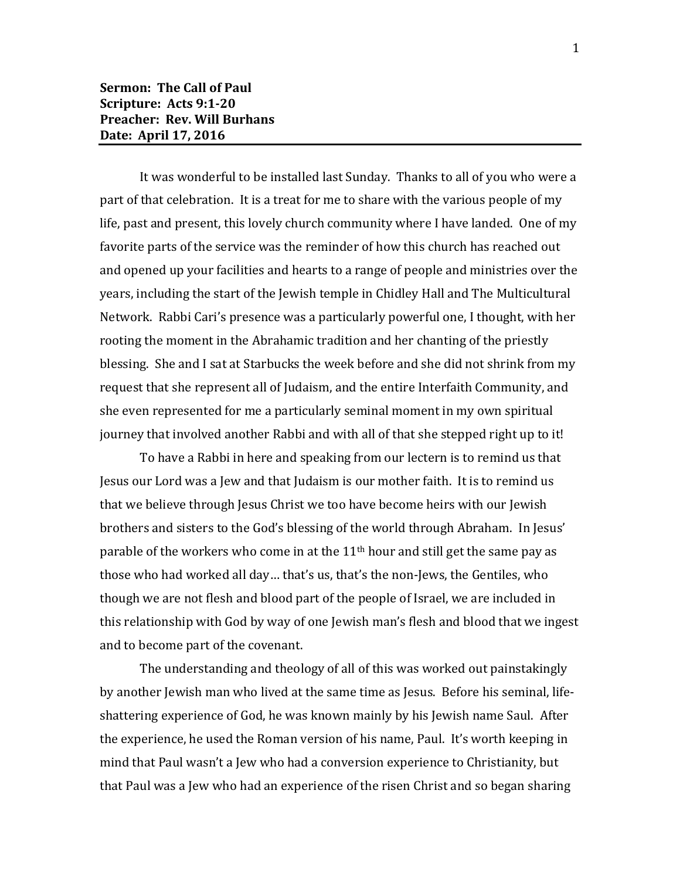It was wonderful to be installed last Sunday. Thanks to all of you who were a part of that celebration. It is a treat for me to share with the various people of my life, past and present, this lovely church community where I have landed. One of my favorite parts of the service was the reminder of how this church has reached out and opened up your facilities and hearts to a range of people and ministries over the years, including the start of the Jewish temple in Chidley Hall and The Multicultural Network. Rabbi Cari's presence was a particularly powerful one, I thought, with her rooting the moment in the Abrahamic tradition and her chanting of the priestly blessing. She and I sat at Starbucks the week before and she did not shrink from my request that she represent all of Judaism, and the entire Interfaith Community, and she even represented for me a particularly seminal moment in my own spiritual journey that involved another Rabbi and with all of that she stepped right up to it!

To have a Rabbi in here and speaking from our lectern is to remind us that Jesus our Lord was a Jew and that Judaism is our mother faith. It is to remind us that we believe through Jesus Christ we too have become heirs with our Jewish brothers and sisters to the God's blessing of the world through Abraham. In Jesus' parable of the workers who come in at the  $11<sup>th</sup>$  hour and still get the same pay as those who had worked all day… that's us, that's the non-Jews, the Gentiles, who though we are not flesh and blood part of the people of Israel, we are included in this relationship with God by way of one Jewish man's flesh and blood that we ingest and to become part of the covenant.

The understanding and theology of all of this was worked out painstakingly by another Jewish man who lived at the same time as Jesus. Before his seminal, lifeshattering experience of God, he was known mainly by his Jewish name Saul. After the experience, he used the Roman version of his name, Paul. It's worth keeping in mind that Paul wasn't a Jew who had a conversion experience to Christianity, but that Paul was a Jew who had an experience of the risen Christ and so began sharing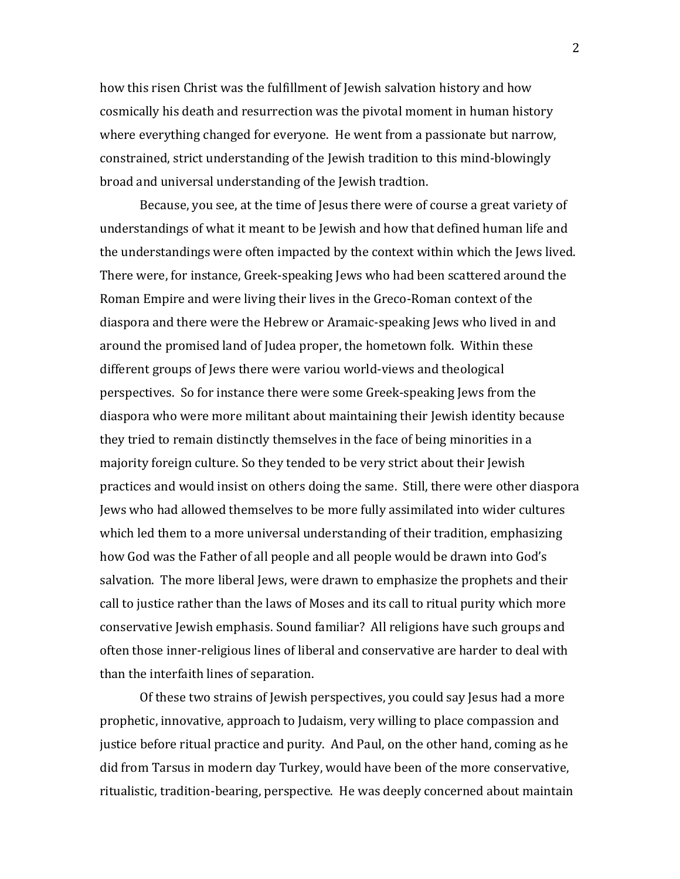how this risen Christ was the fulfillment of Jewish salvation history and how cosmically his death and resurrection was the pivotal moment in human history where everything changed for everyone. He went from a passionate but narrow, constrained, strict understanding of the Jewish tradition to this mind-blowingly broad and universal understanding of the Jewish tradtion.

Because, you see, at the time of Jesus there were of course a great variety of understandings of what it meant to be Jewish and how that defined human life and the understandings were often impacted by the context within which the Jews lived. There were, for instance, Greek-speaking Jews who had been scattered around the Roman Empire and were living their lives in the Greco-Roman context of the diaspora and there were the Hebrew or Aramaic-speaking Jews who lived in and around the promised land of Judea proper, the hometown folk. Within these different groups of Jews there were variou world-views and theological perspectives. So for instance there were some Greek-speaking Jews from the diaspora who were more militant about maintaining their Jewish identity because they tried to remain distinctly themselves in the face of being minorities in a majority foreign culture. So they tended to be very strict about their Jewish practices and would insist on others doing the same. Still, there were other diaspora Jews who had allowed themselves to be more fully assimilated into wider cultures which led them to a more universal understanding of their tradition, emphasizing how God was the Father of all people and all people would be drawn into God's salvation. The more liberal Jews, were drawn to emphasize the prophets and their call to justice rather than the laws of Moses and its call to ritual purity which more conservative Jewish emphasis. Sound familiar? All religions have such groups and often those inner-religious lines of liberal and conservative are harder to deal with than the interfaith lines of separation.

Of these two strains of Jewish perspectives, you could say Jesus had a more prophetic, innovative, approach to Judaism, very willing to place compassion and justice before ritual practice and purity. And Paul, on the other hand, coming as he did from Tarsus in modern day Turkey, would have been of the more conservative, ritualistic, tradition-bearing, perspective. He was deeply concerned about maintain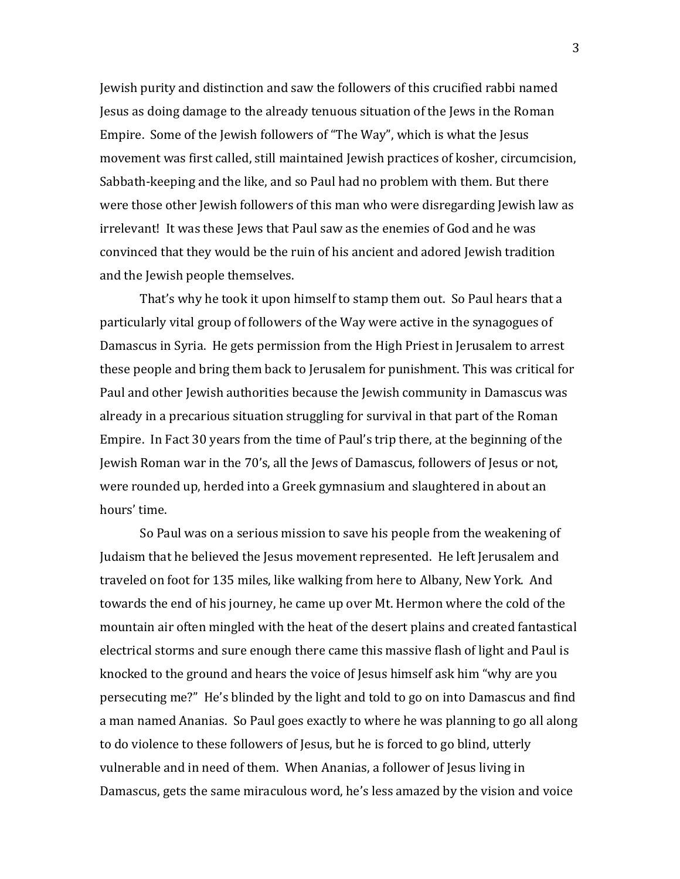Jewish purity and distinction and saw the followers of this crucified rabbi named Jesus as doing damage to the already tenuous situation of the Jews in the Roman Empire. Some of the Jewish followers of "The Way", which is what the Jesus movement was first called, still maintained Jewish practices of kosher, circumcision, Sabbath-keeping and the like, and so Paul had no problem with them. But there were those other Jewish followers of this man who were disregarding Jewish law as irrelevant! It was these Jews that Paul saw as the enemies of God and he was convinced that they would be the ruin of his ancient and adored Jewish tradition and the Jewish people themselves.

That's why he took it upon himself to stamp them out. So Paul hears that a particularly vital group of followers of the Way were active in the synagogues of Damascus in Syria. He gets permission from the High Priest in Jerusalem to arrest these people and bring them back to Jerusalem for punishment. This was critical for Paul and other Jewish authorities because the Jewish community in Damascus was already in a precarious situation struggling for survival in that part of the Roman Empire. In Fact 30 years from the time of Paul's trip there, at the beginning of the Jewish Roman war in the 70's, all the Jews of Damascus, followers of Jesus or not, were rounded up, herded into a Greek gymnasium and slaughtered in about an hours' time.

So Paul was on a serious mission to save his people from the weakening of Judaism that he believed the Jesus movement represented. He left Jerusalem and traveled on foot for 135 miles, like walking from here to Albany, New York. And towards the end of his journey, he came up over Mt. Hermon where the cold of the mountain air often mingled with the heat of the desert plains and created fantastical electrical storms and sure enough there came this massive flash of light and Paul is knocked to the ground and hears the voice of Jesus himself ask him "why are you persecuting me?" He's blinded by the light and told to go on into Damascus and find a man named Ananias. So Paul goes exactly to where he was planning to go all along to do violence to these followers of Jesus, but he is forced to go blind, utterly vulnerable and in need of them. When Ananias, a follower of Jesus living in Damascus, gets the same miraculous word, he's less amazed by the vision and voice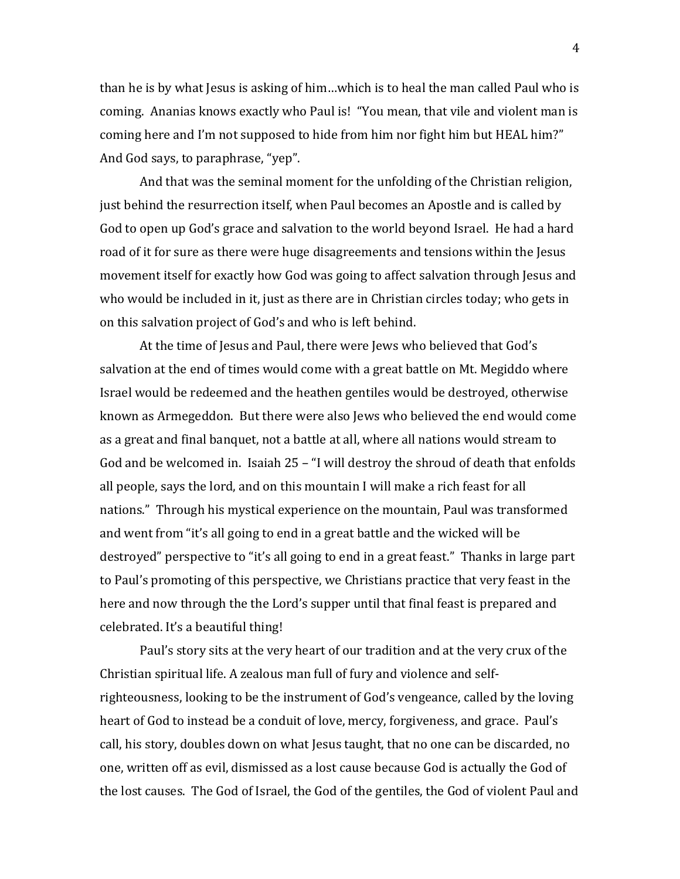than he is by what Jesus is asking of him…which is to heal the man called Paul who is coming. Ananias knows exactly who Paul is! "You mean, that vile and violent man is coming here and I'm not supposed to hide from him nor fight him but HEAL him?" And God says, to paraphrase, "yep".

And that was the seminal moment for the unfolding of the Christian religion, just behind the resurrection itself, when Paul becomes an Apostle and is called by God to open up God's grace and salvation to the world beyond Israel. He had a hard road of it for sure as there were huge disagreements and tensions within the Jesus movement itself for exactly how God was going to affect salvation through Jesus and who would be included in it, just as there are in Christian circles today; who gets in on this salvation project of God's and who is left behind.

At the time of Jesus and Paul, there were Jews who believed that God's salvation at the end of times would come with a great battle on Mt. Megiddo where Israel would be redeemed and the heathen gentiles would be destroyed, otherwise known as Armegeddon. But there were also Jews who believed the end would come as a great and final banquet, not a battle at all, where all nations would stream to God and be welcomed in. Isaiah 25 – "I will destroy the shroud of death that enfolds all people, says the lord, and on this mountain I will make a rich feast for all nations." Through his mystical experience on the mountain, Paul was transformed and went from "it's all going to end in a great battle and the wicked will be destroyed" perspective to "it's all going to end in a great feast." Thanks in large part to Paul's promoting of this perspective, we Christians practice that very feast in the here and now through the the Lord's supper until that final feast is prepared and celebrated. It's a beautiful thing!

Paul's story sits at the very heart of our tradition and at the very crux of the Christian spiritual life. A zealous man full of fury and violence and selfrighteousness, looking to be the instrument of God's vengeance, called by the loving heart of God to instead be a conduit of love, mercy, forgiveness, and grace. Paul's call, his story, doubles down on what Jesus taught, that no one can be discarded, no one, written off as evil, dismissed as a lost cause because God is actually the God of the lost causes. The God of Israel, the God of the gentiles, the God of violent Paul and